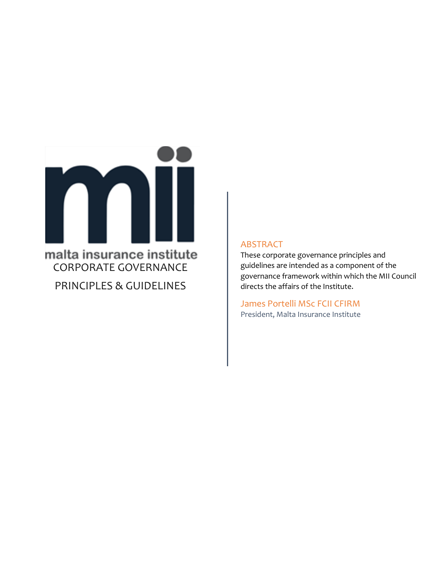

PRINCIPLES & GUIDELINES

#### ABSTRACT

These corporate governance principles and guidelines are intended as a component of the governance framework within which the MII Council directs the affairs of the Institute.

James Portelli MSc FCII CFIRM President, Malta Insurance Institute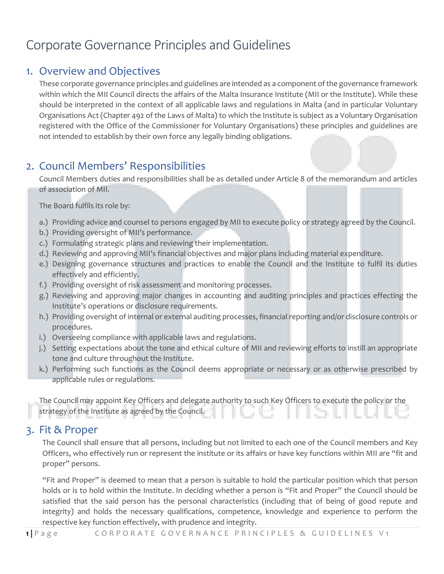# Corporate Governance Principles and Guidelines

#### 1. Overview and Objectives

These corporate governance principles and guidelines are intended as a component of the governance framework within which the MII Council directs the affairs of the Malta Insurance Institute (MII or the Institute). While these should be interpreted in the context of all applicable laws and regulations in Malta (and in particular Voluntary Organisations Act (Chapter 492 of the Laws of Malta) to which the Institute is subject as a Voluntary Organisation registered with the Office of the Commissioner for Voluntary Organisations) these principles and guidelines are not intended to establish by their own force any legally binding obligations.

#### 2. Council Members' Responsibilities

Council Members duties and responsibilities shall be as detailed under Article 8 of the memorandum and articles of association of MII.

The Board fulfils its role by:

- a.) Providing advice and counsel to persons engaged by MII to execute policy or strategy agreed by the Council.
- b.) Providing oversight of MII's performance.
- c.) Formulating strategic plans and reviewing their implementation.
- d.) Reviewing and approving MII's financial objectives and major plans including material expenditure.
- e.) Designing governance structures and practices to enable the Council and the Institute to fulfil its duties effectively and efficiently.
- f.) Providing oversight of risk assessment and monitoring processes.
- g.) Reviewing and approving major changes in accounting and auditing principles and practices effecting the Institute's operations or disclosure requirements.
- h.) Providing oversight of internal or external auditing processes, financial reporting and/or disclosure controls or procedures.
- i.) Overseeing compliance with applicable laws and regulations.
- j.) Setting expectations about the tone and ethical culture of MII and reviewing efforts to instill an appropriate tone and culture throughout the Institute.
- k.) Performing such functions as the Council deems appropriate or necessary or as otherwise prescribed by applicable rules or regulations.

The Council may appoint Key Officers and delegate authority to such Key Officers to execute the policy or the strategy of the Institute as agreed by the Council.

#### 3. Fit & Proper

The Council shall ensure that all persons, including but not limited to each one of the Council members and Key Officers, who effectively run or represent the institute or its affairs or have key functions within MII are "fit and proper" persons.

"Fit and Proper" is deemed to mean that a person is suitable to hold the particular position which that person holds or is to hold within the Institute. In deciding whether a person is "Fit and Proper" the Council should be satisfied that the said person has the personal characteristics (including that of being of good repute and integrity) and holds the necessary qualifications, competence, knowledge and experience to perform the respective key function effectively, with prudence and integrity.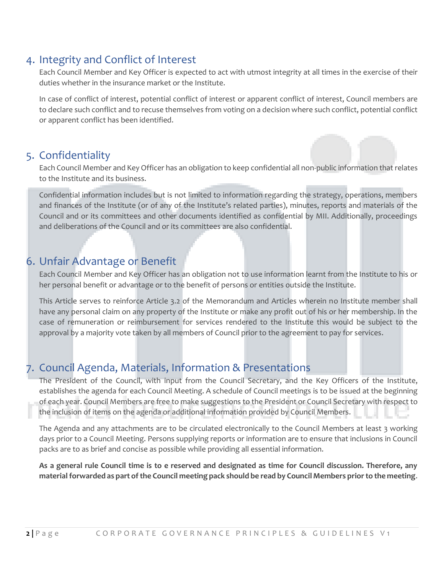#### 4. Integrity and Conflict of Interest

Each Council Member and Key Officer is expected to act with utmost integrity at all times in the exercise of their duties whether in the insurance market or the Institute.

In case of conflict of interest, potential conflict of interest or apparent conflict of interest, Council members are to declare such conflict and to recuse themselves from voting on a decision where such conflict, potential conflict or apparent conflict has been identified.

#### 5. Confidentiality

Each Council Member and Key Officer has an obligation to keep confidential all non-public information that relates to the Institute and its business.

Confidential information includes but is not limited to information regarding the strategy, operations, members and finances of the Institute (or of any of the Institute's related parties), minutes, reports and materials of the Council and or its committees and other documents identified as confidential by MII. Additionally, proceedings and deliberations of the Council and or its committees are also confidential.

### 6. Unfair Advantage or Benefit

Each Council Member and Key Officer has an obligation not to use information learnt from the Institute to his or her personal benefit or advantage or to the benefit of persons or entities outside the Institute.

This Article serves to reinforce Article 3.2 of the Memorandum and Articles wherein no Institute member shall have any personal claim on any property of the Institute or make any profit out of his or her membership. In the case of remuneration or reimbursement for services rendered to the Institute this would be subject to the approval by a majority vote taken by all members of Council prior to the agreement to pay for services.

## 7. Council Agenda, Materials, Information & Presentations

The President of the Council, with input from the Council Secretary, and the Key Officers of the Institute, establishes the agenda for each Council Meeting. A schedule of Council meetings is to be issued at the beginning of each year. Council Members are free to make suggestions to the President or Council Secretary with respect to the inclusion of items on the agenda or additional information provided by Council Members.

The Agenda and any attachments are to be circulated electronically to the Council Members at least 3 working days prior to a Council Meeting. Persons supplying reports or information are to ensure that inclusions in Council packs are to as brief and concise as possible while providing all essential information.

**As a general rule Council time is to e reserved and designated as time for Council discussion. Therefore, any material forwarded as part of the Council meeting pack should be read by Council Members prior to the meeting**.